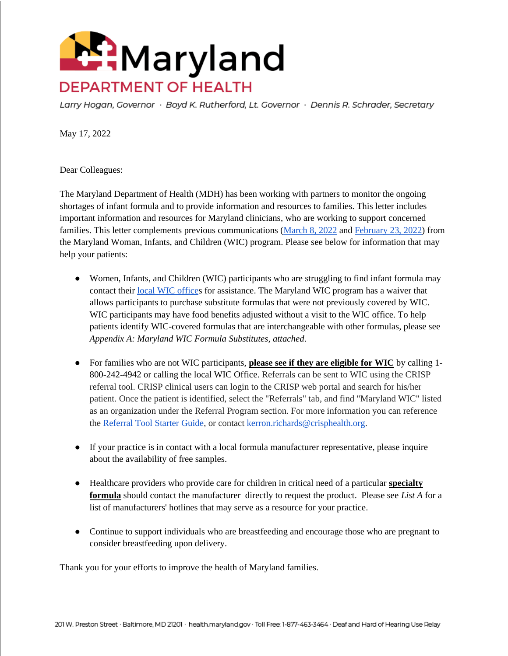

Larry Hogan, Governor · Boyd K. Rutherford, Lt. Governor · Dennis R. Schrader, Secretary

May 17, 2022

Dear Colleagues:

The Maryland Department of Health (MDH) has been working with partners to monitor the ongoing shortages of infant formula and to provide information and resources to families. This letter includes important information and resources for Maryland clinicians, who are working to support concerned families. This letter complements previous communications [\(March 8, 2022](https://health.maryland.gov/phpa/wic/Documents/provider/HCP%20Notification%20-%20Abbott%20Formula%20Recall%203.8.22.pdf) and [February 23, 2022\)](https://health.maryland.gov/phpa/mch/Documents/Final%20HCP%20Notification%20-%20Abbott%20Formula%20Recall%20%281%29.pdf) from the Maryland Woman, Infants, and Children (WIC) program. Please see below for information that may help your patients:

- Women, Infants, and Children (WIC) participants who are struggling to find infant formula may contact their [local WIC offices](https://health.maryland.gov/phpa/wic/Pages/wic-apply.aspx) for assistance. The Maryland WIC program has a waiver that allows participants to purchase substitute formulas that were not previously covered by WIC. WIC participants may have food benefits adjusted without a visit to the WIC office. To help patients identify WIC-covered formulas that are interchangeable with other formulas, please see *Appendix A: Maryland WIC Formula Substitutes, attached*.
- For families who are not WIC participants, **please see if they are eligible for WIC** by calling 1- 800-242-4942 or calling the local WIC Office. Referrals can be sent to WIC using the CRISP referral tool. CRISP clinical users can login to the CRISP web portal and search for his/her patient. Once the patient is identified, select the "Referrals" tab, and find "Maryland WIC" listed as an organization under the Referral Program section. For more information you can reference the [Referral Tool Starter Guide,](https://www.crisphealth.org/wp-content/uploads/2021/02/2020-CRISP-eReferral-Tool-Starter-Guide.pdf) or contact kerron.richards@crisphealth.org.
- If your practice is in contact with a local formula manufacturer representative, please inquire about the availability of free samples.
- Healthcare providers who provide care for children in critical need of a particular **specialty formula** should contact the manufacturer directly to request the product. Please see *List A* for a list of manufacturers' hotlines that may serve as a resource for your practice.
- Continue to support individuals who are breastfeeding and encourage those who are pregnant to consider breastfeeding upon delivery.

Thank you for your efforts to improve the health of Maryland families.